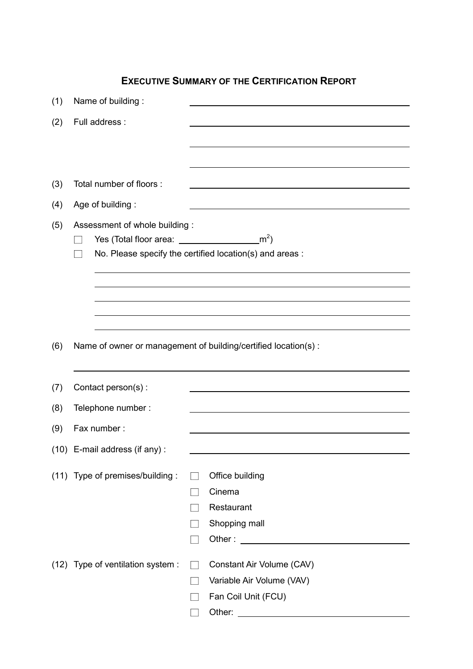## EXECUTIVE SUMMARY OF THE CERTIFICATION REPORT

| (1) | Name of building:                                              |                     |                                                                                                                                                                                                                                      |  |
|-----|----------------------------------------------------------------|---------------------|--------------------------------------------------------------------------------------------------------------------------------------------------------------------------------------------------------------------------------------|--|
| (2) | Full address :                                                 |                     |                                                                                                                                                                                                                                      |  |
|     |                                                                |                     |                                                                                                                                                                                                                                      |  |
|     |                                                                |                     |                                                                                                                                                                                                                                      |  |
|     |                                                                |                     |                                                                                                                                                                                                                                      |  |
| (3) | Total number of floors :                                       |                     |                                                                                                                                                                                                                                      |  |
| (4) | Age of building:                                               |                     |                                                                                                                                                                                                                                      |  |
| (5) | Assessment of whole building:                                  |                     |                                                                                                                                                                                                                                      |  |
|     |                                                                |                     | $\mathsf{m}^2$                                                                                                                                                                                                                       |  |
|     | No. Please specify the certified location(s) and areas :       |                     |                                                                                                                                                                                                                                      |  |
|     |                                                                |                     |                                                                                                                                                                                                                                      |  |
|     |                                                                |                     |                                                                                                                                                                                                                                      |  |
|     |                                                                |                     |                                                                                                                                                                                                                                      |  |
|     |                                                                |                     |                                                                                                                                                                                                                                      |  |
| (6) | Name of owner or management of building/certified location(s): |                     |                                                                                                                                                                                                                                      |  |
|     |                                                                |                     |                                                                                                                                                                                                                                      |  |
| (7) | Contact person(s):                                             |                     |                                                                                                                                                                                                                                      |  |
| (8) | Telephone number:                                              |                     |                                                                                                                                                                                                                                      |  |
| (9) | Fax number:                                                    |                     |                                                                                                                                                                                                                                      |  |
|     | (10) E-mail address (if any):                                  |                     |                                                                                                                                                                                                                                      |  |
|     |                                                                |                     |                                                                                                                                                                                                                                      |  |
|     | (11) Type of premises/building :                               | Office building     |                                                                                                                                                                                                                                      |  |
|     |                                                                | Cinema              |                                                                                                                                                                                                                                      |  |
|     |                                                                | Restaurant          |                                                                                                                                                                                                                                      |  |
|     |                                                                | Shopping mall       |                                                                                                                                                                                                                                      |  |
|     |                                                                |                     |                                                                                                                                                                                                                                      |  |
|     | (12) Type of ventilation system :                              |                     | Constant Air Volume (CAV)                                                                                                                                                                                                            |  |
|     |                                                                |                     | Variable Air Volume (VAV)                                                                                                                                                                                                            |  |
|     |                                                                | Fan Coil Unit (FCU) |                                                                                                                                                                                                                                      |  |
|     |                                                                |                     | Other: <u>with the contract of the contract of the contract of the contract of the contract of the contract of the contract of the contract of the contract of the contract of the contract of the contract of the contract of t</u> |  |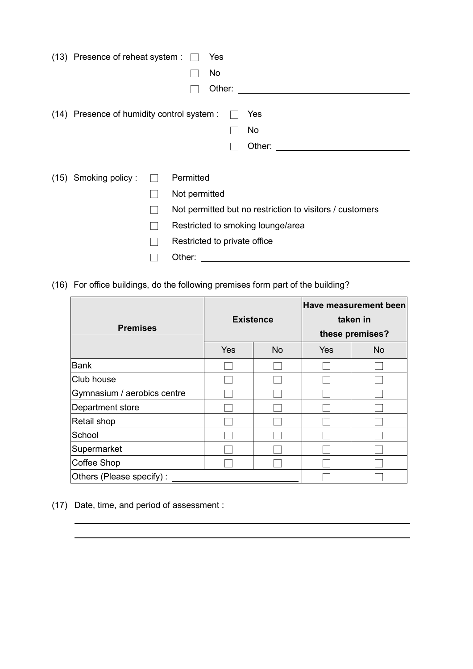| (13) Presence of reheat system :           |              | Yes                                                      |  |
|--------------------------------------------|--------------|----------------------------------------------------------|--|
|                                            |              | No                                                       |  |
|                                            |              | Other:                                                   |  |
| (14) Presence of humidity control system : |              | Yes                                                      |  |
|                                            |              | No                                                       |  |
|                                            |              | Other:                                                   |  |
|                                            |              |                                                          |  |
| (15) Smoking policy:                       | $\mathbf{I}$ | Permitted                                                |  |
|                                            |              | Not permitted                                            |  |
|                                            |              | Not permitted but no restriction to visitors / customers |  |
|                                            |              | Restricted to smoking lounge/area                        |  |
|                                            |              | Restricted to private office                             |  |
|                                            |              | Other:                                                   |  |

(16) For office buildings, do the following premises form part of the building?

| <b>Premises</b>             | <b>Existence</b> |           | <b>Have measurement been</b><br>taken in<br>these premises? |           |
|-----------------------------|------------------|-----------|-------------------------------------------------------------|-----------|
|                             | Yes              | <b>No</b> | Yes                                                         | <b>No</b> |
| Bank                        |                  |           |                                                             |           |
| Club house                  |                  |           |                                                             |           |
| Gymnasium / aerobics centre |                  |           |                                                             |           |
| Department store            |                  |           |                                                             |           |
| Retail shop                 |                  |           |                                                             |           |
| School                      |                  |           |                                                             |           |
| Supermarket                 |                  |           |                                                             |           |
| <b>Coffee Shop</b>          |                  |           |                                                             |           |
| Others (Please specify):    |                  |           |                                                             |           |

(17) Date, time, and period of assessment :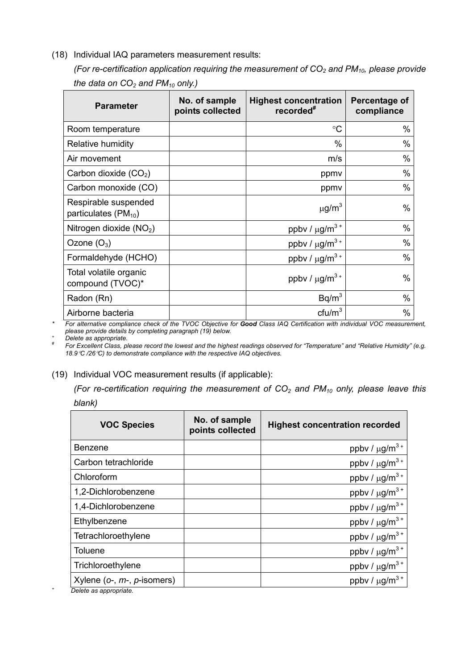(18) Individual IAQ parameters measurement results:

(For re-certification application requiring the measurement of  $CO<sub>2</sub>$  and PM<sub>10</sub>, please provide the data on  $CO<sub>2</sub>$  and PM<sub>10</sub> only.)

| <b>Parameter</b>                                 | No. of sample<br>points collected | <b>Highest concentration</b><br>recorded <sup>#</sup> | Percentage of<br>compliance |
|--------------------------------------------------|-----------------------------------|-------------------------------------------------------|-----------------------------|
| Room temperature                                 |                                   | $\rm ^{\circ}C$                                       | $\%$                        |
| Relative humidity                                |                                   | $\%$                                                  | $\%$                        |
| Air movement                                     |                                   | m/s                                                   | $\%$                        |
| Carbon dioxide $(CO2)$                           |                                   | ppmy                                                  | %                           |
| Carbon monoxide (CO)                             |                                   | ppmy                                                  | $\%$                        |
| Respirable suspended<br>particulates $(PM_{10})$ |                                   | $\mu$ g/m <sup>3</sup>                                | $\%$                        |
| Nitrogen dioxide $(NO2)$                         |                                   | ppbv / $\mu$ g/m <sup>3+</sup>                        | %                           |
| Ozone $(O_3)$                                    |                                   | ppbv / $\mu$ g/m <sup>3+</sup>                        | $\%$                        |
| Formaldehyde (HCHO)                              |                                   | ppby / $\mu$ g/m <sup>3+</sup>                        | $\%$                        |
| Total volatile organic<br>compound (TVOC)*       |                                   | ppbv / $\mu$ g/m <sup>3+</sup>                        | %                           |
| Radon (Rn)                                       |                                   | Bq/m <sup>3</sup>                                     | $\%$                        |
| Airborne bacteria                                |                                   | ctu/m <sup>3</sup>                                    | %                           |

\* For alternative compliance check of the TVOC Objective for Good Class IAQ Certification with individual VOC measurement, please provide details by completing paragraph (19) below.

Delete as appropriate. #

For Excellent Class, please record the lowest and the highest readings observed for "Temperature" and "Relative Humidity" (e.g. 18.9°C /26°C) to demonstrate compliance with the respective IAQ objectives.

## (19) Individual VOC measurement results (if applicable):

(For re-certification requiring the measurement of  $CO<sub>2</sub>$  and PM<sub>10</sub> only, please leave this

| blank) |
|--------|
|        |

| <b>VOC Species</b>                                            | No. of sample<br>points collected | <b>Highest concentration recorded</b> |
|---------------------------------------------------------------|-----------------------------------|---------------------------------------|
| Benzene                                                       |                                   | ppbv / $\mu$ g/m <sup>3+</sup>        |
| Carbon tetrachloride                                          |                                   | ppbv / $\mu$ g/m <sup>3+</sup>        |
| Chloroform                                                    |                                   | ppbv / $\mu$ g/m <sup>3+</sup>        |
| 1,2-Dichlorobenzene                                           |                                   | ppbv / $\mu$ g/m <sup>3+</sup>        |
| 1,4-Dichlorobenzene                                           |                                   | ppbv / $\mu$ g/m <sup>3+</sup>        |
| Ethylbenzene                                                  |                                   | ppbv / $\mu$ g/m <sup>3+</sup>        |
| Tetrachloroethylene                                           |                                   | ppbv / $\mu$ g/m <sup>3+</sup>        |
| <b>Toluene</b>                                                |                                   | ppbv / $\mu$ g/m <sup>3+</sup>        |
| Trichloroethylene                                             |                                   | ppbv / $\mu$ g/m <sup>3+</sup>        |
| Xylene ( $o$ -, $m$ -, $p$ -isomers)<br>Delete se appropriate |                                   | ppbv / $\mu$ g/m <sup>3+</sup>        |

*<sup>+</sup>* Delete as appropriate.